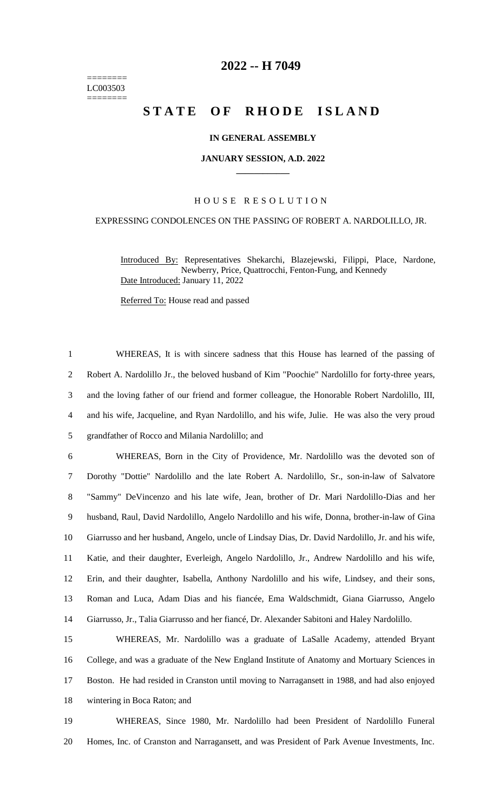======== LC003503 ========

# **-- H 7049**

# **STATE OF RHODE ISLAND**

## **IN GENERAL ASSEMBLY**

#### **JANUARY SESSION, A.D. 2022 \_\_\_\_\_\_\_\_\_\_\_\_**

# H O U S E R E S O L U T I O N

## EXPRESSING CONDOLENCES ON THE PASSING OF ROBERT A. NARDOLILLO, JR.

Introduced By: Representatives Shekarchi, Blazejewski, Filippi, Place, Nardone, Newberry, Price, Quattrocchi, Fenton-Fung, and Kennedy Date Introduced: January 11, 2022

Referred To: House read and passed

 WHEREAS, It is with sincere sadness that this House has learned of the passing of Robert A. Nardolillo Jr., the beloved husband of Kim "Poochie" Nardolillo for forty-three years, and the loving father of our friend and former colleague, the Honorable Robert Nardolillo, III, and his wife, Jacqueline, and Ryan Nardolillo, and his wife, Julie. He was also the very proud grandfather of Rocco and Milania Nardolillo; and

 WHEREAS, Born in the City of Providence, Mr. Nardolillo was the devoted son of Dorothy "Dottie" Nardolillo and the late Robert A. Nardolillo, Sr., son-in-law of Salvatore "Sammy" DeVincenzo and his late wife, Jean, brother of Dr. Mari Nardolillo-Dias and her husband, Raul, David Nardolillo, Angelo Nardolillo and his wife, Donna, brother-in-law of Gina Giarrusso and her husband, Angelo, uncle of Lindsay Dias, Dr. David Nardolillo, Jr. and his wife, Katie, and their daughter, Everleigh, Angelo Nardolillo, Jr., Andrew Nardolillo and his wife, Erin, and their daughter, Isabella, Anthony Nardolillo and his wife, Lindsey, and their sons, Roman and Luca, Adam Dias and his fiancée, Ema Waldschmidt, Giana Giarrusso, Angelo Giarrusso, Jr., Talia Giarrusso and her fiancé, Dr. Alexander Sabitoni and Haley Nardolillo.

 WHEREAS, Mr. Nardolillo was a graduate of LaSalle Academy, attended Bryant College, and was a graduate of the New England Institute of Anatomy and Mortuary Sciences in Boston. He had resided in Cranston until moving to Narragansett in 1988, and had also enjoyed wintering in Boca Raton; and

 WHEREAS, Since 1980, Mr. Nardolillo had been President of Nardolillo Funeral Homes, Inc. of Cranston and Narragansett, and was President of Park Avenue Investments, Inc.